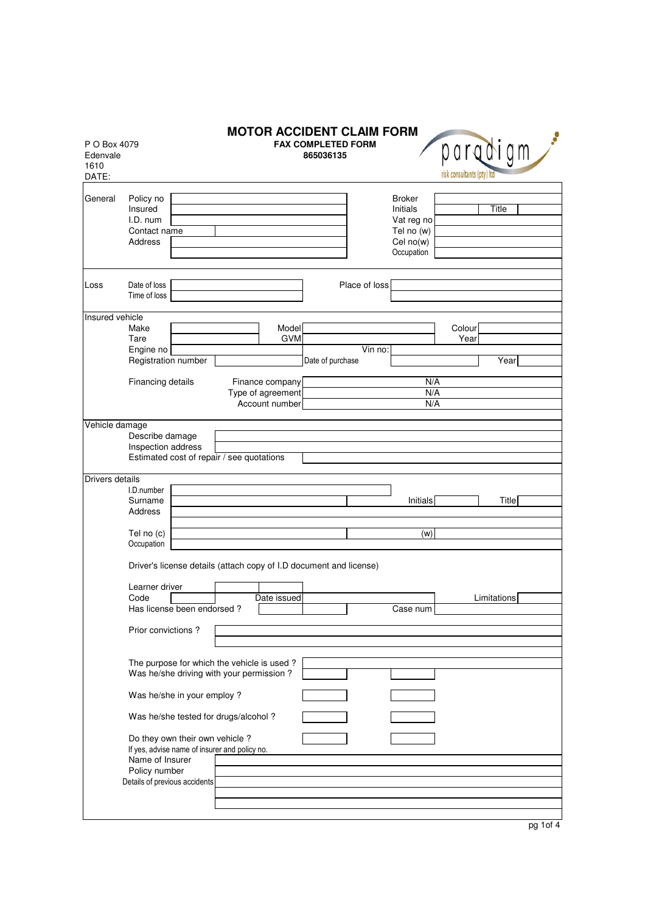| P O Box 4079<br>Edenvale<br>1610<br>DATE: |                                                                                                                                                       |  |                   | <b>MOTOR ACCIDENT CLAIM FORM</b><br><b>FAX COMPLETED FORM</b><br>865036135 |               |                                                                                  | risk consultants (pty) Itd | paradigm    |  |
|-------------------------------------------|-------------------------------------------------------------------------------------------------------------------------------------------------------|--|-------------------|----------------------------------------------------------------------------|---------------|----------------------------------------------------------------------------------|----------------------------|-------------|--|
| General                                   | Policy no<br>Insured<br>I.D. num<br>Contact name<br><b>Address</b>                                                                                    |  |                   |                                                                            |               | <b>Broker</b><br>Initials<br>Vat reg no<br>Tel no (w)<br>Cel no(w)<br>Occupation |                            | Title       |  |
| Loss                                      | Date of loss<br>Time of loss                                                                                                                          |  |                   |                                                                            | Place of loss |                                                                                  |                            |             |  |
| Insured vehicle                           |                                                                                                                                                       |  |                   |                                                                            |               |                                                                                  |                            |             |  |
|                                           | Make                                                                                                                                                  |  | Model             |                                                                            |               |                                                                                  | Colour                     |             |  |
|                                           | Tare                                                                                                                                                  |  | <b>GVM</b>        |                                                                            |               |                                                                                  | Year                       |             |  |
|                                           | Engine no                                                                                                                                             |  |                   |                                                                            | Vin no:       |                                                                                  |                            |             |  |
|                                           | Registration number                                                                                                                                   |  |                   | Date of purchase                                                           |               |                                                                                  |                            | Year        |  |
|                                           |                                                                                                                                                       |  |                   |                                                                            |               |                                                                                  |                            |             |  |
|                                           | Financing details                                                                                                                                     |  | Finance company   |                                                                            |               | N/A                                                                              |                            |             |  |
|                                           |                                                                                                                                                       |  | Type of agreement |                                                                            |               | N/A                                                                              |                            |             |  |
|                                           |                                                                                                                                                       |  | Account number    |                                                                            |               | N/A                                                                              |                            |             |  |
|                                           |                                                                                                                                                       |  |                   |                                                                            |               |                                                                                  |                            |             |  |
| Vehicle damage                            | Describe damage<br>Inspection address<br>Estimated cost of repair / see quotations                                                                    |  |                   |                                                                            |               |                                                                                  |                            |             |  |
| Drivers details                           |                                                                                                                                                       |  |                   |                                                                            |               |                                                                                  |                            |             |  |
|                                           | I.D.number                                                                                                                                            |  |                   |                                                                            |               |                                                                                  |                            |             |  |
|                                           | Surname                                                                                                                                               |  |                   |                                                                            |               | Initials                                                                         |                            | Title       |  |
|                                           | Address                                                                                                                                               |  |                   |                                                                            |               |                                                                                  |                            |             |  |
|                                           |                                                                                                                                                       |  |                   |                                                                            |               |                                                                                  |                            |             |  |
|                                           | Tel no (c)                                                                                                                                            |  |                   |                                                                            |               | (w)                                                                              |                            |             |  |
|                                           | Occupation                                                                                                                                            |  |                   |                                                                            |               |                                                                                  |                            |             |  |
|                                           | Driver's license details (attach copy of I.D document and license)<br>Learner driver                                                                  |  | Date issued       |                                                                            |               |                                                                                  |                            |             |  |
|                                           | Code<br>Has license been endorsed?                                                                                                                    |  |                   |                                                                            |               |                                                                                  |                            | Limitations |  |
|                                           |                                                                                                                                                       |  |                   |                                                                            |               | Case num                                                                         |                            |             |  |
|                                           | Prior convictions?                                                                                                                                    |  |                   |                                                                            |               |                                                                                  |                            |             |  |
|                                           | The purpose for which the vehicle is used?<br>Was he/she driving with your permission?                                                                |  |                   |                                                                            |               |                                                                                  |                            |             |  |
|                                           | Was he/she in your employ ?                                                                                                                           |  |                   |                                                                            |               |                                                                                  |                            |             |  |
|                                           | Was he/she tested for drugs/alcohol?                                                                                                                  |  |                   |                                                                            |               |                                                                                  |                            |             |  |
|                                           | Do they own their own vehicle ?<br>If yes, advise name of insurer and policy no.<br>Name of Insurer<br>Policy number<br>Details of previous accidents |  |                   |                                                                            |               |                                                                                  |                            |             |  |
|                                           |                                                                                                                                                       |  |                   |                                                                            |               |                                                                                  |                            |             |  |
|                                           |                                                                                                                                                       |  |                   |                                                                            |               |                                                                                  |                            |             |  |

pg 1of 4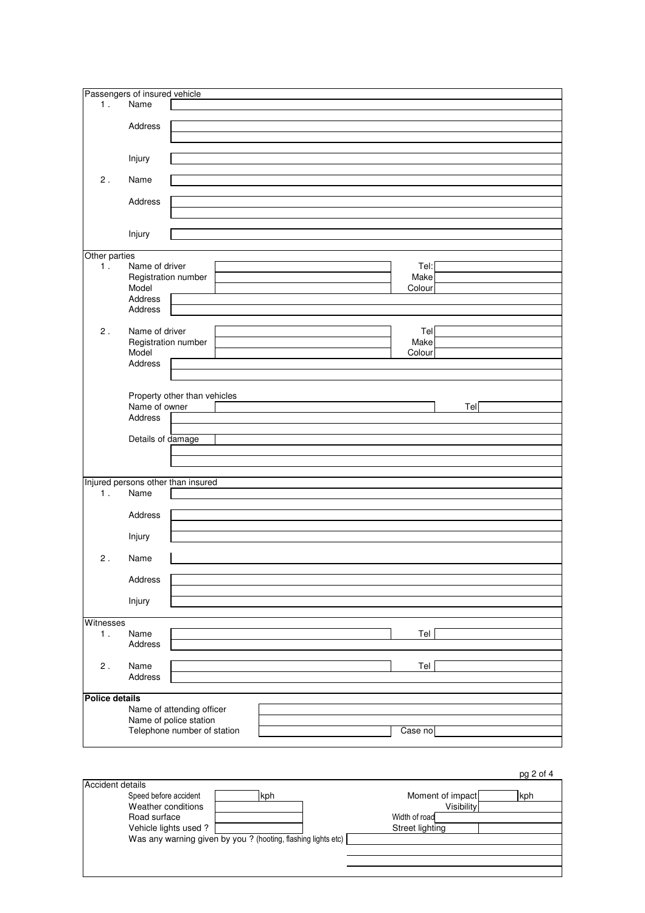|                       | Passengers of insured vehicle      |                              |  |  |         |     |  |
|-----------------------|------------------------------------|------------------------------|--|--|---------|-----|--|
|                       |                                    |                              |  |  |         |     |  |
| 1.                    | Name                               |                              |  |  |         |     |  |
|                       |                                    |                              |  |  |         |     |  |
|                       | Address                            |                              |  |  |         |     |  |
|                       |                                    |                              |  |  |         |     |  |
|                       |                                    |                              |  |  |         |     |  |
|                       |                                    |                              |  |  |         |     |  |
|                       | Injury                             |                              |  |  |         |     |  |
|                       |                                    |                              |  |  |         |     |  |
| $2$ .                 | Name                               |                              |  |  |         |     |  |
|                       |                                    |                              |  |  |         |     |  |
|                       | Address                            |                              |  |  |         |     |  |
|                       |                                    |                              |  |  |         |     |  |
|                       |                                    |                              |  |  |         |     |  |
|                       |                                    |                              |  |  |         |     |  |
|                       | Injury                             |                              |  |  |         |     |  |
|                       |                                    |                              |  |  |         |     |  |
| Other parties         |                                    |                              |  |  |         |     |  |
| 1.                    | Name of driver                     |                              |  |  | Tel:    |     |  |
|                       | Registration number                |                              |  |  | Make    |     |  |
|                       | Model                              |                              |  |  | Colour  |     |  |
|                       | Address                            |                              |  |  |         |     |  |
|                       |                                    |                              |  |  |         |     |  |
|                       | Address                            |                              |  |  |         |     |  |
|                       |                                    |                              |  |  |         |     |  |
| 2.                    | Name of driver                     |                              |  |  | Tel     |     |  |
|                       | Registration number                |                              |  |  | Make    |     |  |
|                       | Model                              |                              |  |  | Colour  |     |  |
|                       | Address                            |                              |  |  |         |     |  |
|                       |                                    |                              |  |  |         |     |  |
|                       |                                    |                              |  |  |         |     |  |
|                       |                                    |                              |  |  |         |     |  |
|                       |                                    | Property other than vehicles |  |  |         |     |  |
|                       | Name of owner                      |                              |  |  |         | Tel |  |
|                       | Address                            |                              |  |  |         |     |  |
|                       |                                    |                              |  |  |         |     |  |
|                       | Details of damage                  |                              |  |  |         |     |  |
|                       |                                    |                              |  |  |         |     |  |
|                       |                                    |                              |  |  |         |     |  |
|                       |                                    |                              |  |  |         |     |  |
|                       |                                    |                              |  |  |         |     |  |
|                       | Injured persons other than insured |                              |  |  |         |     |  |
| 1.                    | Name                               |                              |  |  |         |     |  |
|                       |                                    |                              |  |  |         |     |  |
|                       |                                    |                              |  |  |         |     |  |
|                       | Address                            |                              |  |  |         |     |  |
|                       |                                    |                              |  |  |         |     |  |
|                       | Injury                             |                              |  |  |         |     |  |
|                       |                                    |                              |  |  |         |     |  |
| 2.                    | Name                               |                              |  |  |         |     |  |
|                       |                                    |                              |  |  |         |     |  |
|                       |                                    |                              |  |  |         |     |  |
|                       | Address                            |                              |  |  |         |     |  |
|                       |                                    |                              |  |  |         |     |  |
|                       | Injury                             |                              |  |  |         |     |  |
|                       |                                    |                              |  |  |         |     |  |
| Witnesses             |                                    |                              |  |  |         |     |  |
| 1.                    | Name                               |                              |  |  | Tel     |     |  |
|                       |                                    |                              |  |  |         |     |  |
|                       | Address                            |                              |  |  |         |     |  |
|                       |                                    |                              |  |  |         |     |  |
| $\mathsf 2$ .         | Name                               |                              |  |  | Tel     |     |  |
|                       | Address                            |                              |  |  |         |     |  |
|                       |                                    |                              |  |  |         |     |  |
| <b>Police details</b> |                                    |                              |  |  |         |     |  |
|                       |                                    |                              |  |  |         |     |  |
|                       |                                    | Name of attending officer    |  |  |         |     |  |
|                       |                                    | Name of police station       |  |  |         |     |  |
|                       |                                    | Telephone number of station  |  |  | Case no |     |  |
|                       |                                    |                              |  |  |         |     |  |

|                       |                                                               | $pq \, \angle$ OT 4     |
|-----------------------|---------------------------------------------------------------|-------------------------|
| Accident details      |                                                               |                         |
| Speed before accident | kph                                                           | Moment of impact<br>kph |
| Weather conditions    |                                                               | Visibility              |
| Road surface          |                                                               | Width of road           |
| Vehicle lights used?  |                                                               | Street lighting         |
|                       | Was any warning given by you ? (hooting, flashing lights etc) |                         |
|                       |                                                               |                         |
|                       |                                                               |                         |
|                       |                                                               |                         |

 $2$  of  $4$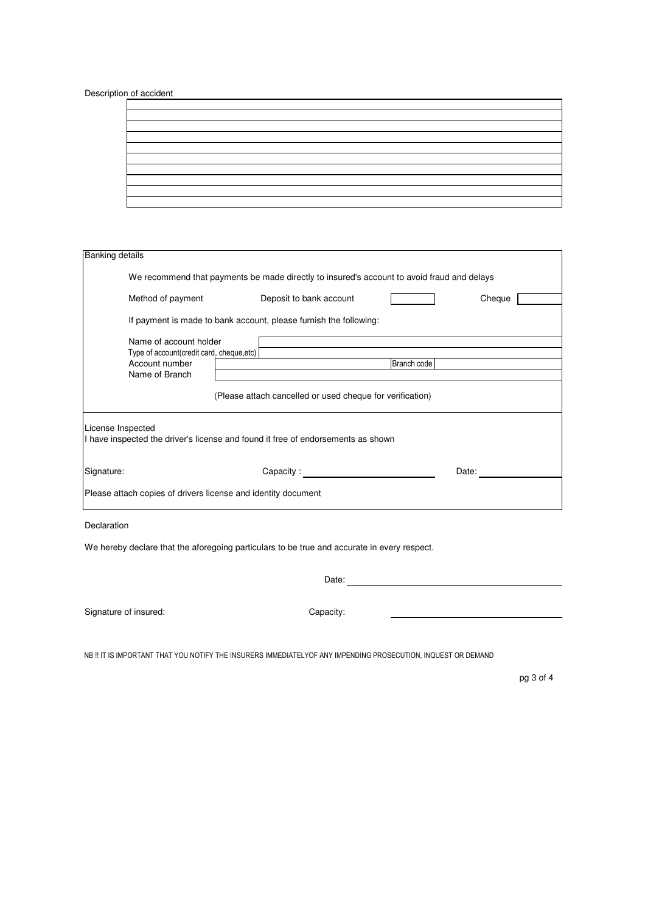Description of accident

| the control of the control of the control of<br><u> La componenta de la contrada de la contrada de la contrada de la contrada de la contrada de la contrada de l</u><br><u> 1990 - Jan James James James James James James James James James James James James James James James James J</u><br><u> 1989 - Andrea Andrews, Amerikaansk politik (* 1958)</u><br><u> La construcción de la construcción de la construcción de la construcción de la construcción de la construcción </u> |  |  |  |  |
|----------------------------------------------------------------------------------------------------------------------------------------------------------------------------------------------------------------------------------------------------------------------------------------------------------------------------------------------------------------------------------------------------------------------------------------------------------------------------------------|--|--|--|--|
|                                                                                                                                                                                                                                                                                                                                                                                                                                                                                        |  |  |  |  |
|                                                                                                                                                                                                                                                                                                                                                                                                                                                                                        |  |  |  |  |
|                                                                                                                                                                                                                                                                                                                                                                                                                                                                                        |  |  |  |  |
|                                                                                                                                                                                                                                                                                                                                                                                                                                                                                        |  |  |  |  |
|                                                                                                                                                                                                                                                                                                                                                                                                                                                                                        |  |  |  |  |
|                                                                                                                                                                                                                                                                                                                                                                                                                                                                                        |  |  |  |  |
|                                                                                                                                                                                                                                                                                                                                                                                                                                                                                        |  |  |  |  |
|                                                                                                                                                                                                                                                                                                                                                                                                                                                                                        |  |  |  |  |
|                                                                                                                                                                                                                                                                                                                                                                                                                                                                                        |  |  |  |  |

| <b>Banking details</b>                                                                                |                                                                   |                                                                                           |        |  |  |  |  |  |  |
|-------------------------------------------------------------------------------------------------------|-------------------------------------------------------------------|-------------------------------------------------------------------------------------------|--------|--|--|--|--|--|--|
|                                                                                                       |                                                                   |                                                                                           |        |  |  |  |  |  |  |
| We recommend that payments be made directly to insured's account to avoid fraud and delays            |                                                                   |                                                                                           |        |  |  |  |  |  |  |
| Method of payment                                                                                     | Deposit to bank account                                           |                                                                                           | Cheque |  |  |  |  |  |  |
|                                                                                                       | If payment is made to bank account, please furnish the following: |                                                                                           |        |  |  |  |  |  |  |
| Name of account holder                                                                                |                                                                   | the control of the control of the control of the control of the control of the control of |        |  |  |  |  |  |  |
| Type of account(credit card, cheque, etc)<br>Account number                                           |                                                                   | Branch code                                                                               |        |  |  |  |  |  |  |
| Name of Branch                                                                                        |                                                                   |                                                                                           |        |  |  |  |  |  |  |
|                                                                                                       | (Please attach cancelled or used cheque for verification)         |                                                                                           |        |  |  |  |  |  |  |
| License Inspected<br>I have inspected the driver's license and found it free of endorsements as shown |                                                                   |                                                                                           |        |  |  |  |  |  |  |
| Signature:                                                                                            | Capacity: <u>_________________________________</u>                |                                                                                           | Date:  |  |  |  |  |  |  |
| Please attach copies of drivers license and identity document                                         |                                                                   |                                                                                           |        |  |  |  |  |  |  |
| Declaration                                                                                           |                                                                   |                                                                                           |        |  |  |  |  |  |  |
| We hereby declare that the aforegoing particulars to be true and accurate in every respect.           |                                                                   |                                                                                           |        |  |  |  |  |  |  |
|                                                                                                       | Date:                                                             |                                                                                           |        |  |  |  |  |  |  |

Signature of insured: Capacity:

NB !! IT IS IMPORTANT THAT YOU NOTIFY THE INSURERS IMMEDIATELYOF ANY IMPENDING PROSECUTION, INQUEST OR DEMAND

pg 3 of 4